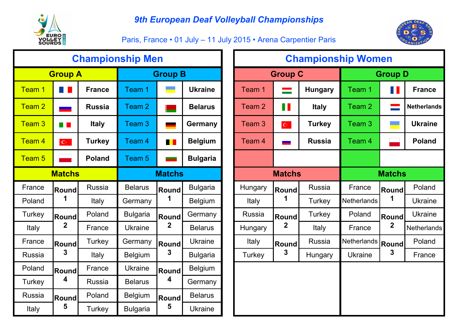

Paris, France • 01 July – 11 July 2015 • Arena Carpentier Paris



|                   |                                      |               | <b>Championship Men</b> |                         |                 |                   |                           | <b>Championship Wo</b> |                   |
|-------------------|--------------------------------------|---------------|-------------------------|-------------------------|-----------------|-------------------|---------------------------|------------------------|-------------------|
|                   | <b>Group A</b>                       |               |                         | <b>Group B</b>          |                 |                   | <b>Group C</b>            |                        |                   |
| Team 1            |                                      | <b>France</b> | Team 1                  |                         | <b>Ukraine</b>  | Team 1            |                           | <b>Hungary</b>         | Team 1            |
| Team <sub>2</sub> | <u>and</u>                           | <b>Russia</b> | Team 2                  |                         | <b>Belarus</b>  | Team 2            | $\blacksquare$            | <b>Italy</b>           | Team <sub>2</sub> |
| Team 3            | <b>The Co</b>                        | <b>Italy</b>  | Team 3                  |                         | Germany         | Team <sub>3</sub> | $\mathbb{C}^{\mathbb{Z}}$ | <b>Turkey</b>          | Team <sub>3</sub> |
| Team 4            | $\mathbf{C}^{\mathbf{c},\mathbf{c}}$ | <b>Turkey</b> | Team 4                  | <u>ra</u> 1             | <b>Belgium</b>  | Team <sub>4</sub> |                           | <b>Russia</b>          | Team <sub>4</sub> |
| Team <sub>5</sub> |                                      | <b>Poland</b> | Team 5                  |                         | <b>Bulgaria</b> |                   |                           |                        |                   |
|                   | <b>Matchs</b>                        |               |                         | <b>Matchs</b>           |                 |                   | <b>Matchs</b>             |                        |                   |
| France            | <b>Round</b>                         | <b>Russia</b> | <b>Belarus</b>          | Round                   | <b>Bulgaria</b> | Hungary           | <b>Round</b>              | <b>Russia</b>          | France            |
| Poland            | 1                                    | Italy         | Germany                 | 1                       | <b>Belgium</b>  | Italy             | 1                         | Turkey                 | Netherland        |
| Turkey            | <b>Round</b>                         | Poland        | <b>Bulgaria</b>         | Round                   | Germany         | <b>Russia</b>     | <b>Round</b>              | Turkey                 | Poland            |
| Italy             | 2                                    | France        | <b>Ukraine</b>          | $\mathbf{2}$            | <b>Belarus</b>  | Hungary           | $\mathbf 2$               | Italy                  | France            |
| France            | <b>Round</b>                         | <b>Turkey</b> | Germany                 | <b>Round</b>            | <b>Ukraine</b>  | Italy             | <b>Round</b>              | <b>Russia</b>          | Netherland        |
| Russia            | 3                                    | Italy         | <b>Belgium</b>          | $\mathbf{3}$            | <b>Bulgaria</b> | Turkey            | 3                         | Hungary                | <b>Ukraine</b>    |
| Poland            | France<br><b>Round</b>               |               | <b>Ukraine</b>          | <b>Round</b>            | <b>Belgium</b>  |                   |                           |                        |                   |
| <b>Turkey</b>     | 4<br><b>Russia</b>                   |               | <b>Belarus</b>          | $\overline{\mathbf{4}}$ | Germany         |                   |                           |                        |                   |
| <b>Russia</b>     | Poland<br><b>Round</b>               |               | <b>Belgium</b>          | Round                   | <b>Belarus</b>  |                   |                           |                        |                   |
| Italy             | 5                                    | Turkey        | <b>Bulgaria</b>         | 5                       | <b>Ukraine</b>  |                   |                           |                        |                   |

|               |                          |               | <b>Championship Men</b> |                          |                 |                   |                           | <b>Championship Women</b> |                   |                          |                    |
|---------------|--------------------------|---------------|-------------------------|--------------------------|-----------------|-------------------|---------------------------|---------------------------|-------------------|--------------------------|--------------------|
|               | <b>Group A</b>           |               |                         | <b>Group B</b>           |                 |                   | <b>Group C</b>            |                           |                   | <b>Group D</b>           |                    |
| Team 1        | a pr                     | <b>France</b> | Team 1                  | <b>START START</b>       | <b>Ukraine</b>  | Team 1            | <u>est</u>                | <b>Hungary</b>            | Team <sub>1</sub> | <b>TIME</b>              | <b>France</b>      |
| Team 2        | $\overline{\phantom{a}}$ | <b>Russia</b> | Team <sub>2</sub>       | ▏                        | <b>Belarus</b>  | Team <sub>2</sub> | $\blacksquare$            | <b>Italy</b>              | Team 2            | $\overline{\phantom{a}}$ | <b>Netherlands</b> |
| Team 3        | a pr                     | <b>Italy</b>  | Team 3                  | $\overline{\phantom{0}}$ | <b>Germany</b>  | Team 3            | $\mathbf{C}^{\mathbb{C}}$ | <b>Turkey</b>             | Team <sub>3</sub> | e.                       | <b>Ukraine</b>     |
| Team 4        | $\mathbf{C}^{\perp}$     | <b>Turkey</b> | Team 4                  | $\blacksquare$           | <b>Belgium</b>  | Team 4            | -                         | <b>Russia</b>             | Team 4            |                          | <b>Poland</b>      |
| Team 5        |                          | <b>Poland</b> | Team 5                  |                          | <b>Bulgaria</b> |                   |                           |                           |                   |                          |                    |
|               | <b>Matchs</b>            |               |                         | <b>Matchs</b>            |                 |                   | <b>Matchs</b>             |                           |                   | <b>Matchs</b>            |                    |
| France        | Round                    | <b>Russia</b> | <b>Belarus</b>          | <b>Round</b>             | <b>Bulgaria</b> | Hungary           | <b>Round</b>              | Russia                    | France            | Round                    | Poland             |
| Poland        | 1                        | Italy         | Germany                 | 1                        | <b>Belgium</b>  | <b>Italy</b>      |                           | Turkey                    | Netherlands       | 1                        | <b>Ukraine</b>     |
| <b>Turkey</b> | Round                    | Poland        | <b>Bulgaria</b>         | <b>Round</b>             | Germany         | <b>Russia</b>     | Round                     | Turkey                    | Poland            | <b>Round</b>             | <b>Ukraine</b>     |
| Italy         | $\mathbf 2$              | France        | <b>Ukraine</b>          | $\mathbf 2$              | <b>Belarus</b>  | Hungary           | $\mathbf 2$               | Italy                     | France            | $\mathbf 2$              | <b>Netherlands</b> |
| France        | <b>Round</b>             | Turkey        | Germany                 | <b>Round</b>             | <b>Ukraine</b>  | <b>Italy</b>      | Round                     | Russia                    | Netherlands       | <b>Round</b>             | Poland             |
| <b>Russia</b> | 3                        | Italy         | <b>Belgium</b>          | 3                        | <b>Bulgaria</b> | Turkey            | 3                         | Hungary                   | <b>Ukraine</b>    | 3                        | France             |
| Poland        | <b>Round</b>             | France        | <b>Ukraine</b>          | <b>Round</b>             | <b>Belgium</b>  |                   |                           |                           |                   |                          |                    |
| <b>Turkey</b> | 4                        | Russia        | <b>Belarus</b>          | 4                        | Germany         |                   |                           |                           |                   |                          |                    |
| Russia        | Round                    | Poland        | <b>Belgium</b>          | <b>Round</b>             | <b>Belarus</b>  |                   |                           |                           |                   |                          |                    |
| <b>Italy</b>  | 5<br>Turkey              |               | <b>Bulgaria</b>         | 5                        | <b>Ukraine</b>  |                   |                           |                           |                   |                          |                    |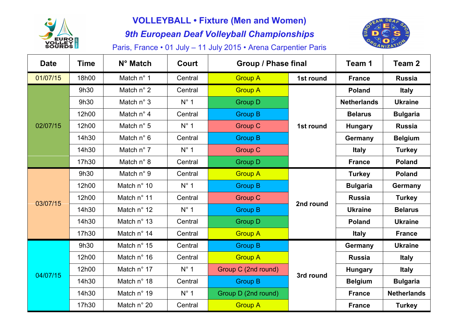

# **VOLLEYBALL • Fixture (Men and Women)**

*9th European Deaf Volleyball Championships*



Paris, France • 01 July – 11 July 2015 • Arena Carpentier Paris

| <b>Date</b> | <b>Time</b> | N° Match            | <b>Court</b>  | <b>Group / Phase final</b> |           | Team 1             | Team <sub>2</sub>  |
|-------------|-------------|---------------------|---------------|----------------------------|-----------|--------------------|--------------------|
| 01/07/15    | 18h00       | Match n° 1          | Central       | <b>Group A</b>             | 1st round | <b>France</b>      | <b>Russia</b>      |
|             | 9h30        | Match n° 2          | Central       | <b>Group A</b>             |           | <b>Poland</b>      | <b>Italy</b>       |
|             | 9h30        | Match n° 3          | $N^{\circ}$ 1 | <b>Group D</b>             |           | <b>Netherlands</b> | <b>Ukraine</b>     |
|             | 12h00       | Match $n^{\circ}$ 4 | Central       | <b>Group B</b>             |           | <b>Belarus</b>     | <b>Bulgaria</b>    |
| 02/07/15    | 12h00       | Match $n^{\circ}$ 5 | $N^{\circ}$ 1 | <b>Group C</b>             | 1st round | <b>Hungary</b>     | <b>Russia</b>      |
|             | 14h30       | Match $n^{\circ}$ 6 | Central       | <b>Group B</b>             |           | Germany            | <b>Belgium</b>     |
|             | 14h30       | Match $n^{\circ}$ 7 | $N^{\circ}$ 1 | <b>Group C</b>             |           | <b>Italy</b>       | <b>Turkey</b>      |
|             | 17h30       | Match $n^{\circ}$ 8 | Central       | <b>Group D</b>             |           | <b>France</b>      | <b>Poland</b>      |
|             | 9h30        | Match n° 9          | Central       | <b>Group A</b>             |           | <b>Turkey</b>      | <b>Poland</b>      |
|             | 12h00       | Match n° 10         | $N^{\circ}$ 1 | <b>Group B</b>             |           | <b>Bulgaria</b>    | Germany            |
| 03/07/15    | 12h00       | Match n° 11         | Central       | <b>Group C</b>             |           | <b>Russia</b>      | <b>Turkey</b>      |
|             | 14h30       | Match n° 12         | $N^{\circ}$ 1 | <b>Group B</b>             | 2nd round | <b>Ukraine</b>     | <b>Belarus</b>     |
|             | 14h30       | Match n° 13         | Central       | <b>Group D</b>             |           | <b>Poland</b>      | <b>Ukraine</b>     |
|             | 17h30       | Match n° 14         | Central       | <b>Group A</b>             |           | <b>Italy</b>       | <b>France</b>      |
|             | 9h30        | Match n° 15         | Central       | <b>Group B</b>             |           | Germany            | <b>Ukraine</b>     |
|             | 12h00       | Match n° 16         | Central       | <b>Group A</b>             |           | <b>Russia</b>      | <b>Italy</b>       |
| 04/07/15    | 12h00       | Match n° 17         | $N^{\circ}$ 1 | Group C (2nd round)        |           | <b>Hungary</b>     | <b>Italy</b>       |
|             | 14h30       | Match n° 18         | Central       | <b>Group B</b>             | 3rd round | <b>Belgium</b>     | <b>Bulgaria</b>    |
|             | 14h30       | Match n° 19         | $N^{\circ}$ 1 | Group D (2nd round)        |           | <b>France</b>      | <b>Netherlands</b> |
|             | 17h30       | Match n° 20         | Central       | <b>Group A</b>             |           | <b>France</b>      | <b>Turkey</b>      |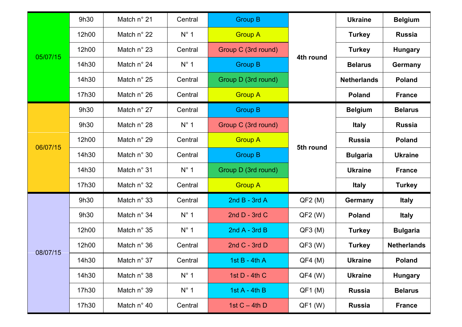|          | 9h30  | Match n° 21          | Central       | <b>Group B</b>      |           | <b>Ukraine</b>     | <b>Belgium</b>     |
|----------|-------|----------------------|---------------|---------------------|-----------|--------------------|--------------------|
|          | 12h00 | Match $n^{\circ}$ 22 | $N^{\circ}$ 1 | <b>Group A</b>      |           | <b>Turkey</b>      | <b>Russia</b>      |
|          | 12h00 | Match n° 23          | Central       | Group C (3rd round) |           | <b>Turkey</b>      | <b>Hungary</b>     |
| 05/07/15 | 14h30 | Match n° 24          | $N^{\circ}$ 1 | <b>Group B</b>      | 4th round | <b>Belarus</b>     | Germany            |
|          | 14h30 | Match $n^{\circ}$ 25 | Central       | Group D (3rd round) |           | <b>Netherlands</b> | <b>Poland</b>      |
|          | 17h30 | Match n° 26          | Central       | <b>Group A</b>      |           | <b>Poland</b>      | <b>France</b>      |
|          | 9h30  | Match n° 27          | Central       | <b>Group B</b>      |           | <b>Belgium</b>     | <b>Belarus</b>     |
|          | 9h30  | Match n° 28          | $N^\circ$ 1   | Group C (3rd round) |           | <b>Italy</b>       | <b>Russia</b>      |
| 06/07/15 | 12h00 | Match n° 29          | Central       | <b>Group A</b>      |           | <b>Russia</b>      | <b>Poland</b>      |
|          | 14h30 | Match n° 30          | Central       | <b>Group B</b>      | 5th round | <b>Bulgaria</b>    | <b>Ukraine</b>     |
|          | 14h30 | Match n° 31          | $N^{\circ}$ 1 | Group D (3rd round) |           | <b>Ukraine</b>     | <b>France</b>      |
|          | 17h30 | Match $n^{\circ}$ 32 | Central       | <b>Group A</b>      |           | <b>Italy</b>       | <b>Turkey</b>      |
|          | 9h30  | Match n° 33          | Central       | 2nd $B - 3rd A$     | QF2(M)    | Germany            | <b>Italy</b>       |
|          | 9h30  | Match n° 34          | $N^{\circ}$ 1 | 2nd $D - 3rd C$     | $QF2$ (W) | <b>Poland</b>      | <b>Italy</b>       |
|          | 12h00 | Match n° 35          | $N^\circ$ 1   | 2nd $A - 3rd B$     | QF3(M)    | <b>Turkey</b>      | <b>Bulgaria</b>    |
|          | 12h00 | Match $n^{\circ}$ 36 | Central       | 2nd $C - 3rd$ D     | $QF3$ (W) | <b>Turkey</b>      | <b>Netherlands</b> |
| 08/07/15 | 14h30 | Match n° 37          | Central       | 1st $B - 4th A$     | $QF4$ (M) | <b>Ukraine</b>     | <b>Poland</b>      |
|          | 14h30 | Match n° 38          | $N^\circ$ 1   | 1st $D - 4th C$     | $QF4$ (W) | <b>Ukraine</b>     | <b>Hungary</b>     |
|          | 17h30 | Match n° 39          | $N^{\circ}$ 1 | 1st $A - 4$ th B    | $QF1$ (M) | <b>Russia</b>      | <b>Belarus</b>     |
|          | 17h30 | Match n° 40          | Central       | 1st $C - 4th$ D     | $QF1$ (W) | <b>Russia</b>      | <b>France</b>      |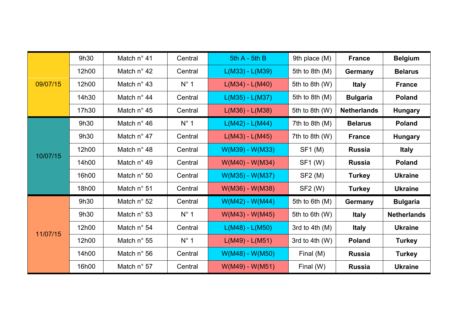|          | 9h30  | Match $n^{\circ}$ 41 | Central       | $5th A - 5th B$   | 9th place (M)    | <b>France</b>      | <b>Belgium</b>     |
|----------|-------|----------------------|---------------|-------------------|------------------|--------------------|--------------------|
|          | 12h00 | Match $n^{\circ}$ 42 | Central       | $L(M33) - L(M39)$ | 5th to 8th $(M)$ | Germany            | <b>Belarus</b>     |
| 09/07/15 | 12h00 | Match $n^{\circ}$ 43 | $N^\circ$ 1   | $L(M34) - L(M40)$ | 5th to 8th (W)   | <b>Italy</b>       | <b>France</b>      |
|          | 14h30 | Match n° 44          | Central       | $L(M35) - L(M37)$ | 5th to 8th $(M)$ | <b>Bulgaria</b>    | <b>Poland</b>      |
|          | 17h30 | Match $n^{\circ}$ 45 | Central       | $L(M36) - L(M38)$ | 5th to 8th (W)   | <b>Netherlands</b> | <b>Hungary</b>     |
|          | 9h30  | Match $n^{\circ}$ 46 | $N^{\circ}$ 1 | $L(M42) - L(M44)$ | 7th to 8th $(M)$ | <b>Belarus</b>     | <b>Poland</b>      |
|          | 9h30  | Match n° 47          | Central       | $L(M43) - L(M45)$ | 7th to 8th $(W)$ | <b>France</b>      | <b>Hungary</b>     |
|          | 12h00 | Match $n^{\circ}$ 48 | Central       | W(M39) - W(M33)   | SF1(M)           | <b>Russia</b>      | <b>Italy</b>       |
| 10/07/15 | 14h00 | Match n° 49          | Central       | W(M40) - W(M34)   | SF1 (W)          | <b>Russia</b>      | <b>Poland</b>      |
|          | 16h00 | Match $n^{\circ}$ 50 | Central       | W(M35) - W(M37)   | SF2(M)           | <b>Turkey</b>      | <b>Ukraine</b>     |
|          | 18h00 | Match $n^{\circ}$ 51 | Central       | W(M36) - W(M38)   | SF2 (W)          | <b>Turkey</b>      | <b>Ukraine</b>     |
|          | 9h30  | Match $n^{\circ}$ 52 | Central       | $W(M42) - W(M44)$ | 5th to 6th (M)   | Germany            | <b>Bulgaria</b>    |
|          | 9h30  | Match $n^{\circ}$ 53 | $N^\circ$ 1   | $W(M43) - W(M45)$ | 5th to 6th (W)   | <b>Italy</b>       | <b>Netherlands</b> |
| 11/07/15 | 12h00 | Match $n^{\circ}$ 54 | Central       | $L(M48) - L(M50)$ | 3rd to 4th $(M)$ | <b>Italy</b>       | <b>Ukraine</b>     |
|          | 12h00 | Match n° 55          | $N^\circ$ 1   | $L(M49) - L(M51)$ | 3rd to 4th $(W)$ | <b>Poland</b>      | <b>Turkey</b>      |
|          | 14h00 | Match n° 56          | Central       | $W(M48) - W(M50)$ | Final (M)        | <b>Russia</b>      | <b>Turkey</b>      |
|          | 16h00 | Match n° 57          | Central       | $W(M49) - W(M51)$ | Final (W)        | <b>Russia</b>      | <b>Ukraine</b>     |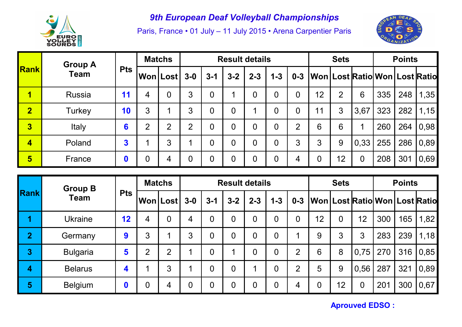

Paris, France • 01 July – 11 July 2015 • Arena Carpentier Paris



|                         | <b>Group A</b> |            |   | <b>Matchs</b> |                |                | <b>Result details</b> |                |         |                |    | <b>Sets</b>    |                |     | <b>Points</b> |                                               |
|-------------------------|----------------|------------|---|---------------|----------------|----------------|-----------------------|----------------|---------|----------------|----|----------------|----------------|-----|---------------|-----------------------------------------------|
| Rank                    | <b>Team</b>    | <b>Pts</b> |   | Won Lost 3-0  |                | $3 - 1$        | $3 - 2$               | $2 - 3$        | $1 - 3$ |                |    |                |                |     |               | 0-3   Won   Lost   Ratio   Won   Lost   Ratio |
| 1                       | <b>Russia</b>  | 11         |   | 0             | 3              | $\overline{0}$ |                       | $\overline{0}$ | 0       | $\overline{0}$ | 12 | $\overline{2}$ | 6              | 335 | 248           | 1,35                                          |
| $\overline{2}$          | Turkey         | 10         | 3 |               | 3              | $\overline{0}$ | $\overline{0}$        |                | 0       | $\overline{0}$ | 11 | 3              | 3,67           | 323 | 282           | 1,15                                          |
| $\overline{\mathbf{3}}$ | Italy          | 6          | ⌒ | ⌒             | $\overline{2}$ | $\overline{0}$ | $\overline{0}$        | $\overline{0}$ | 0       | $\overline{2}$ | 6  | 6              |                | 260 | 264           | 0,98                                          |
| 4                       | Poland         | 3          |   | 3             |                | $\overline{0}$ | $\overline{0}$        | $\overline{0}$ | 0       | 3              | 3  | 9              | 0,33           | 255 | 286           | 0,89                                          |
| 5                       | France         |            | 0 | 4             | $\overline{0}$ | $\overline{0}$ | $\overline{0}$        | $\overline{0}$ | 0       | 4              | 0  | 12             | $\overline{0}$ | 208 | 301           | 0,69                                          |

|                | <b>Group B</b>  |            |   | <b>Matchs</b>          |                |                | <b>Result details</b> |                |                |                |                | <b>Sets</b>    |                                         |     | <b>Points</b> |      |
|----------------|-----------------|------------|---|------------------------|----------------|----------------|-----------------------|----------------|----------------|----------------|----------------|----------------|-----------------------------------------|-----|---------------|------|
| <b>Rank</b>    | <b>Team</b>     | <b>Pts</b> |   | ∣Won Lost <sup>∣</sup> | $3-0$          | $3 - 1$        | $3 - 2$               | $2 - 3$        | $1 - 3$        | $0 - 3$        |                |                | Won   Lost   Ratio   Won   Lost   Ratio |     |               |      |
|                | <b>Ukraine</b>  | 12         | 4 | $\overline{0}$         | $\overline{4}$ | $\overline{0}$ | $\overline{0}$        | $\overline{0}$ | $\overline{0}$ | $\overline{0}$ | 12             | $\overline{0}$ | 12                                      | 300 | 165           | 1,82 |
| $\overline{2}$ | Germany         | 9          | 3 |                        | 3              | $\overline{0}$ | $\overline{0}$        | $\overline{0}$ | $\overline{0}$ | ◢              | 9              | 3              | 3                                       | 283 | 239           | 1,18 |
| 3              | <b>Bulgaria</b> | 5          | ⌒ | $\overline{2}$         |                | $\overline{0}$ | И                     | 0              | 0              | $\overline{2}$ | 6              | 8              | 0,75                                    | 270 | 316           | 0,85 |
| 4              | <b>Belarus</b>  | 4          |   | 3                      | и              | $\overline{0}$ | $\overline{0}$        | ◢              | $\overline{0}$ | $\overline{2}$ | 5              | 9              | 0,56                                    | 287 | 321           | 0,89 |
| 5              | <b>Belgium</b>  |            | 0 | 4                      | $\overline{0}$ | $\overline{0}$ | $\overline{0}$        | $\overline{0}$ | 0              | 4              | $\overline{0}$ | 12             | $\overline{0}$                          | 201 | 300           | 0,67 |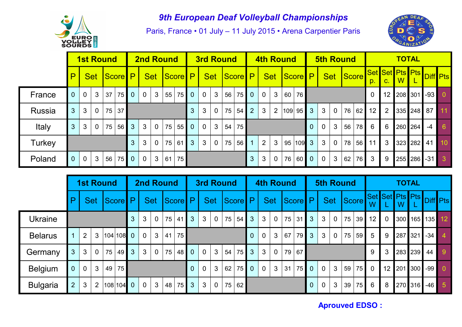

Paris, France • 01 July – 11 July 2015 • Arena Carpentier Paris



|               |                | <b>1st Round</b> |              |                 |             |                |                | <b>2nd Round</b> |    |    |                |              | <b>3rd Round</b> |    |             |                |                |                | <b>4th Round</b> |              |          |                |                | <b>5th Round</b> |    |                |                |                       | <b>TOTAL</b> |                  |   |
|---------------|----------------|------------------|--------------|-----------------|-------------|----------------|----------------|------------------|----|----|----------------|--------------|------------------|----|-------------|----------------|----------------|----------------|------------------|--------------|----------|----------------|----------------|------------------|----|----------------|----------------|-----------------------|--------------|------------------|---|
|               | ם              |                  | <b>Set</b>   | <b>Score</b> P  |             |                |                |                  |    |    | Set Score P    |              |                  |    | Set Score P |                |                |                |                  | Set Score P  |          |                |                | Set Score        |    | p.             | C <sub>1</sub> | Set Set Pts Pts<br>W. |              | <b>Diff</b> Pts  |   |
| France        |                | $\overline{0}$   | 3            | 37 <sup>°</sup> | 75 <b>I</b> | $\overline{0}$ | $\overline{0}$ | $\mathbf{3}$     | 55 | 75 | $\overline{0}$ | $\mathbf 0$  | $\mathbf{3}$     | 56 | $75$ 0      |                | $\overline{0}$ | 3              |                  | 60 76        |          |                |                |                  |    | $\Omega$       |                |                       |              | 12 208 301 -93 0 |   |
| Russia        | 3              | 3                | $\Omega$     | 75              | 37          |                |                |                  |    |    | $\overline{3}$ | 3            | $\overline{0}$   | 75 | 54          | $\overline{2}$ | $\mathbf{3}$   | 2              |                  | $ 109 $ 95 3 |          | 3 <sup>1</sup> | $\overline{0}$ | 76               | 62 | 12             | $\overline{2}$ |                       |              | 335 248 87 11    |   |
| Italy         | $\overline{3}$ | 3                | $\mathbf{0}$ | 75              | 56          | $\mathbf{3}$   | 3 <sup>1</sup> | $\overline{0}$   | 75 | 55 | $\overline{0}$ | $\mathbf 0$  | $\mathbf{3}$     | 54 | 75          |                |                |                |                  |              | $\Omega$ | $\Omega$       | 3              | 56               | 78 | 6              | 6              |                       | 260 264      | $-4$             | 6 |
| <b>Turkey</b> |                |                  |              |                 |             | $\mathbf{3}$   | $\mathbf{3}$   | $\overline{0}$   | 75 | 61 | $\overline{3}$ | $\mathbf{3}$ | $\overline{0}$   | 75 | 56          | $\overline{1}$ | $\overline{2}$ | 3              |                  | 95 109 3     |          | 3 <sup>1</sup> | $\overline{0}$ | 78               | 56 | $11$ 3         |                |                       |              | 323 282 41 10    |   |
| Poland        | $\overline{0}$ | $\overline{0}$   | 3            |                 | 56 75       | $\overline{0}$ | $\overline{0}$ | 3 <sup>1</sup>   | 61 | 75 |                |              |                  |    |             | $\mathbf{3}$   | 3              | $\overline{0}$ | 76               | 60 0         |          | $\overline{0}$ | $\mathbf{3}$   | 62               | 76 | 3 <sup>1</sup> | -9             |                       |              | 255 286 -31 3    |   |

|                 |                |                |                | <b>1st Round</b> |              |                                                          |                |                | <b>2nd Round</b> |                |                |                |                | <b>3rd Round</b> |                |                |              |                | <b>4th Round</b> |              |                |              |                | <b>5th Round</b> |                    |                 |                |         | <b>TOTAL</b> |                          |                |
|-----------------|----------------|----------------|----------------|------------------|--------------|----------------------------------------------------------|----------------|----------------|------------------|----------------|----------------|----------------|----------------|------------------|----------------|----------------|--------------|----------------|------------------|--------------|----------------|--------------|----------------|------------------|--------------------|-----------------|----------------|---------|--------------|--------------------------|----------------|
|                 |                |                | <b>Set</b>     |                  | Score        | P                                                        |                | <b>Set</b>     |                  | <b>Score</b>   | $\mathsf{P}$   |                | <b>Set</b>     | Score P          |                |                |              | <b>Set</b>     |                  | Score P      |                |              | <b>Set</b>     |                  | Score <sup>1</sup> | W               |                | W       |              | Set Set Pts Pts Diff Pts |                |
| <b>Ukraine</b>  |                |                |                |                  |              | 3                                                        | 3              | $\overline{0}$ | 75               | 41             | $\overline{3}$ | $\mathbf{3}$   | $\mathbf 0$    | 75               | 54             | $\mathbf{3}$   | $\mathbf{3}$ | $\overline{0}$ | 75               | 31           | 3 <sup>1</sup> | $\mathbf{3}$ | $\overline{0}$ | 75               |                    | $39$ 12         | $\overline{0}$ |         | 300 165      |                          | 135 12         |
| <b>Belarus</b>  |                | $\overline{2}$ | 3              |                  | $ 104 108$ 0 |                                                          | $\overline{0}$ | $\mathbf{3}$   | 41               | 75             |                |                |                |                  |                | $\overline{0}$ | $\mathbf 0$  | 3              | 67               |              | $79$ 3         | 3            | $\overline{0}$ | 75               | 59                 | $5\overline{)}$ | 9              |         | 287 321      | $-34$                    | $\overline{4}$ |
| Germany         | 3              | 3              | $\overline{0}$ | 75               | 49           | $\overline{3}$                                           | $\mathbf{3}$   | $\mathbf 0$    | 75               | 48             | $\overline{0}$ | $\overline{0}$ | $\overline{3}$ | 54               | 75             | $\mathbf{3}$   | $\mathbf{3}$ | $\overline{0}$ | 79               | 67           |                |              |                |                  |                    | 9               | 3              |         | 283 239      | 44                       | 9              |
| <b>Belgium</b>  | $\overline{0}$ | $\overline{0}$ | 3              | 49               | 75           |                                                          |                |                |                  | $\overline{0}$ | $\overline{0}$ | 3              | 62             | 75               | $\overline{0}$ | $\mathbf{0}$   | 3            | 31             | $75$ 0           |              | $\overline{0}$ | $\mathbf{3}$ | 59             | 75               | $\mathbf{0}$       | 12 <sup>1</sup> |                | 201 300 | $-99$        | $\overline{0}$           |                |
| <b>Bulgaria</b> | 2              | 3              | $\overline{2}$ |                  |              | $\mathbf{3}$<br>75<br>$\mathbf 0$<br>48 <br>$ 108 104$ 0 |                | 3 <sup>°</sup> | $\mathfrak{S}$   | $\mathbf 0$    | 75             | 62             |                |                  |                |                |              | $\overline{0}$ | $\Omega$         | $\mathbf{3}$ | 39             | 75           | 6              | 8                |                    | 270 316         | $-46$          | $-5$    |              |                          |                |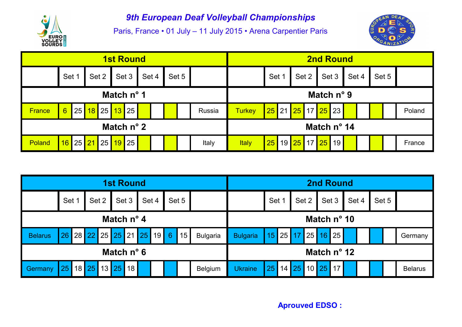

Paris, France • 01 July – 11 July 2015 • Arena Carpentier Paris



|                                                   |       |  |       |  |  | <b>1st Round</b>                                 |       |  |       |       |              |               |                                               |                                                                               | <b>2nd Round</b>     |       |       |        |        |
|---------------------------------------------------|-------|--|-------|--|--|--------------------------------------------------|-------|--|-------|-------|--------------|---------------|-----------------------------------------------|-------------------------------------------------------------------------------|----------------------|-------|-------|--------|--------|
|                                                   | Set 1 |  | Set 2 |  |  | Set 3                                            | Set 4 |  | Set 5 |       |              |               | Set                                           | Set 2                                                                         |                      | Set 3 | Set 4 | Set 5  |        |
|                                                   |       |  |       |  |  | Match $n^{\circ}$ 1                              |       |  |       |       |              |               |                                               |                                                                               | Match n° 9           |       |       |        |        |
| <b>France</b>                                     | 6     |  |       |  |  | 25 <mark>  18  </mark> 25 <mark>  13  </mark> 25 |       |  |       |       | Russia       | <b>Turkey</b> |                                               | <mark>  25  </mark> 21 <mark>  25  </mark> 17 <mark>  25  </mark> 23 <b> </b> |                      |       |       |        | Poland |
|                                                   |       |  |       |  |  | Match $n^{\circ}$ 2                              |       |  |       |       |              |               |                                               |                                                                               | Match $n^{\circ}$ 14 |       |       |        |        |
| 25 21<br>25<br><mark>19</mark> 25<br>16<br>Poland |       |  |       |  |  |                                                  |       |  |       | Italy | <b>Italy</b> | $\sqrt{25}$   | 19 <mark>  25  </mark> 17 <mark>  25  </mark> |                                                                               | 19                   |       |       | France |        |

|                |       |         |  | <b>1st Round</b>    |       |                        |       |                 |                 |             |         |         | <b>2nd Round</b>     |       |  |       |                |
|----------------|-------|---------|--|---------------------|-------|------------------------|-------|-----------------|-----------------|-------------|---------|---------|----------------------|-------|--|-------|----------------|
|                | Set 1 | Set 2   |  | Set 3               | Set 4 |                        | Set 5 |                 |                 | Set 1       | Set 2   |         | Set 3                | Set 4 |  | Set 5 |                |
|                |       |         |  | Match $n^{\circ}$ 4 |       |                        |       |                 |                 |             |         |         | Match $n^{\circ}$ 10 |       |  |       |                |
| <b>Belarus</b> | 26    |         |  |                     |       | 28 22 25 25 21 25 19 6 | '15   | <b>Bulgaria</b> | <b>Bulgaria</b> | $\sqrt{15}$ | 25 17   |         | 25 16 25             |       |  |       | Germany        |
|                |       |         |  | Match $n^{\circ}$ 6 |       |                        |       |                 |                 |             |         |         | Match $n^{\circ}$ 12 |       |  |       |                |
| Germany        | 25    | $18$ 25 |  | 13 25 18            |       |                        |       | Belgium         | <b>Ukraine</b>  | 25          | 14   25 | $10$ 25 | 17 <sup>1</sup>      |       |  |       | <b>Belarus</b> |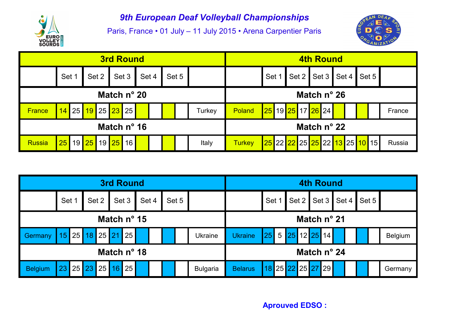

Paris, France • 01 July – 11 July 2015 • Arena Carpentier Paris



|                                                 |             |  |  |       | <b>3rd Round</b>               |       |       |  |       |               |                               |        |                   |  | <b>4th Round</b>        |        |  |        |
|-------------------------------------------------|-------------|--|--|-------|--------------------------------|-------|-------|--|-------|---------------|-------------------------------|--------|-------------------|--|-------------------------|--------|--|--------|
|                                                 | Set 1       |  |  | Set 2 |                                | Set 3 | Set 4 |  | Set 5 |               |                               |        | <b>Set</b>        |  | Set 2 Set 3 Set 4 Set 5 |        |  |        |
|                                                 | Match n° 20 |  |  |       |                                |       |       |  |       |               |                               |        |                   |  | Match $n^{\circ}$ 26    |        |  |        |
| <b>France</b>                                   |             |  |  |       | <mark>14</mark> 25 19 25 23 25 |       |       |  |       |               | Turkey                        | Poland | 25 19 25 17 26 24 |  |                         |        |  | France |
|                                                 |             |  |  |       | Match n° 16                    |       |       |  |       |               |                               |        |                   |  | Match $n^{\circ}$ 22    |        |  |        |
| <mark>25</mark> 19 25 19 25 16<br><b>Russia</b> |             |  |  |       |                                |       |       |  | Italy | <b>Turkey</b> | 25 22 22 25 25 22 13 25 10 15 |        |                   |  |                         | Russia |  |        |

|                                           |          |    |  |  |  | <b>3rd Round</b> |  |  |                  |  |                 |                |             |       |             | <b>4th Round</b> |  |  |                |
|-------------------------------------------|----------|----|--|--|--|------------------|--|--|------------------|--|-----------------|----------------|-------------|-------|-------------|------------------|--|--|----------------|
| Set 1<br>Set 3<br>Set 4<br>Set 5<br>Set 2 |          |    |  |  |  |                  |  |  | Set <sup>-</sup> |  | Set 2           |                | Set 3 Set 4 | Set 5 |             |                  |  |  |                |
| Match nº 15                               |          |    |  |  |  |                  |  |  |                  |  |                 |                |             |       | Match n° 21 |                  |  |  |                |
| Germany                                   | 15       | 25 |  |  |  | 18 25 21 25      |  |  |                  |  | <b>Ukraine</b>  | <b>Ukraine</b> |             |       |             | 25 5 25 12 25 14 |  |  | <b>Belgium</b> |
| Match nº 18                               |          |    |  |  |  |                  |  |  |                  |  |                 |                |             |       | Match nº 24 |                  |  |  |                |
| <b>Belgium</b>                            | 23 25 23 |    |  |  |  | 25   16   25     |  |  |                  |  | <b>Bulgaria</b> | <b>Belarus</b> | 18          |       |             | 25 22 25 27 29   |  |  | Germany        |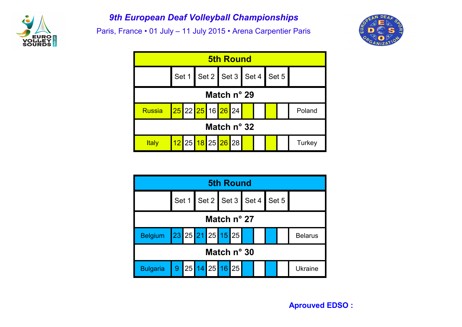

Paris, France • 01 July – 11 July 2015 • Arena Carpentier Paris





|                           |                      |  |  |                               |  | <b>5th Round</b> |  |  |  |  |                |  |  |  |
|---------------------------|----------------------|--|--|-------------------------------|--|------------------|--|--|--|--|----------------|--|--|--|
|                           |                      |  |  | Set 1 Set 2 Set 3 Set 4 Set 5 |  |                  |  |  |  |  |                |  |  |  |
| Match $n^{\circ}$ 27      |                      |  |  |                               |  |                  |  |  |  |  |                |  |  |  |
| Belgium 23 25 21 25 15 25 |                      |  |  |                               |  |                  |  |  |  |  | <b>Belarus</b> |  |  |  |
|                           | Match $n^{\circ}$ 30 |  |  |                               |  |                  |  |  |  |  |                |  |  |  |
| <b>Bulgaria</b>           |                      |  |  | 9 25 14 25 16 25              |  |                  |  |  |  |  | Ukraine        |  |  |  |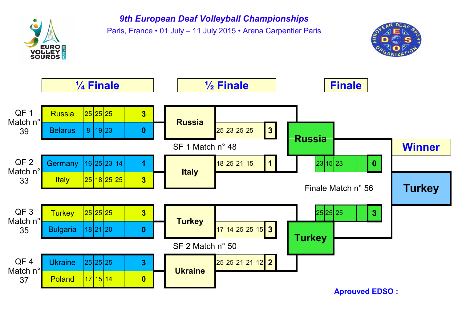

Paris, France • 01 July – 11 July 2015 • Arena Carpentier Paris



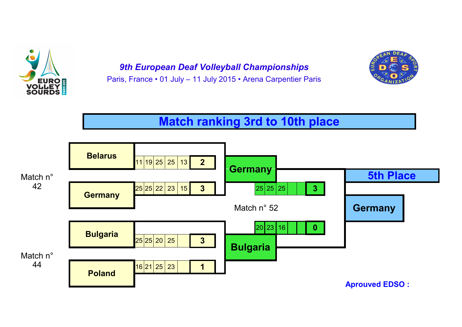

*9th European Deaf Volleyball Championships* Paris, France • 01 July – 11 July 2015 • Arena Carpentier Paris



# **Match ranking 3rd to 10th place**

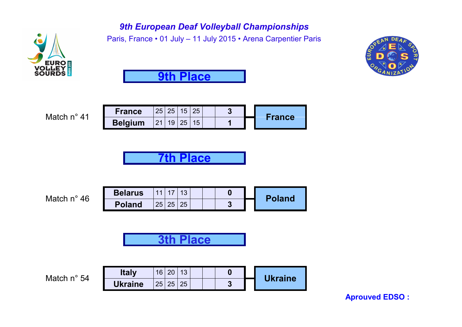

Paris, France • 01 July – 11 July 2015 • Arena Carpentier Paris





Match n° 41

| <b>France</b>  | 25 <sub>1</sub> | 25 | 15 | 25 |  |               |
|----------------|-----------------|----|----|----|--|---------------|
| <b>Belgium</b> | $\mathcal{D}$   | 9  |    |    |  | <b>France</b> |

**7th Place**

| Match n° 46 | <b>Belarus</b> | $\overline{4}$ |    |    |  |             | <b>Poland</b> |
|-------------|----------------|----------------|----|----|--|-------------|---------------|
|             | <b>Poland</b>  | 25             | 25 | 25 |  | ◠<br>$\sim$ |               |
|             |                |                |    |    |  |             |               |

**3th Place**

**Match n° 54** 

| <b>Italy</b>   | 16 |  |  |  | <b>Ukraine</b> |
|----------------|----|--|--|--|----------------|
| <b>Ukraine</b> | 25 |  |  |  |                |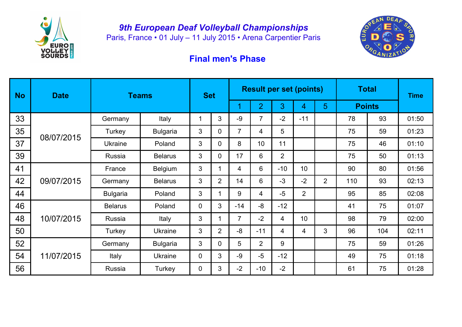

Paris, France • 01 July – 11 July 2015 • Arena Carpentier Paris



## **Final men's Phase**

| <b>No</b> | <b>Date</b> |                 | <b>Teams</b>    | <b>Set</b>  |                |                |                |                | <b>Result per set (points)</b> |                | <b>Total</b>  |     | <b>Time</b> |
|-----------|-------------|-----------------|-----------------|-------------|----------------|----------------|----------------|----------------|--------------------------------|----------------|---------------|-----|-------------|
|           |             |                 |                 |             |                |                | $\overline{2}$ | 3              | 4                              | $5\phantom{1}$ | <b>Points</b> |     |             |
| 33        |             | Germany         | Italy           |             | 3              | $-9$           | $\overline{7}$ | $-2$           | $-11$                          |                | 78            | 93  | 01:50       |
| 35        | 08/07/2015  | Turkey          | <b>Bulgaria</b> | 3           | 0              | $\overline{7}$ | 4              | 5              |                                |                | 75            | 59  | 01:23       |
| 37        |             | <b>Ukraine</b>  | Poland          | 3           | 0              | 8              | 10             | 11             |                                |                | 75            | 46  | 01:10       |
| 39        |             | Russia          | <b>Belarus</b>  | 3           | 0              | 17             | 6              | $\overline{2}$ |                                |                | 75            | 50  | 01:13       |
| 41        |             | France          | <b>Belgium</b>  | 3           |                | 4              | 6              | $-10$          | 10                             |                | 90            | 80  | 01:56       |
| 42        | 09/07/2015  | Germany         | <b>Belarus</b>  | 3           | $\overline{2}$ | 14             | 6              | $-3$           | $-2$                           | $\overline{2}$ | 110           | 93  | 02:13       |
| 44        |             | <b>Bulgaria</b> | Poland          | 3           |                | 9              | 4              | $-5$           | $\overline{2}$                 |                | 95            | 85  | 02:08       |
| 46        |             | <b>Belarus</b>  | Poland          | $\Omega$    | 3              | $-14$          | -8             | $-12$          |                                |                | 41            | 75  | 01:07       |
| 48        | 10/07/2015  | Russia          | Italy           | 3           |                | $\overline{7}$ | $-2$           | $\overline{4}$ | 10                             |                | 98            | 79  | 02:00       |
| 50        |             | Turkey          | <b>Ukraine</b>  | 3           | $\overline{2}$ | -8             | $-11$          | 4              | 4                              | 3              | 96            | 104 | 02:11       |
| 52        |             | Germany         | <b>Bulgaria</b> | 3           | 0              | 5              | $\overline{2}$ | 9              |                                |                | 75            | 59  | 01:26       |
| 54        | 11/07/2015  | Italy           | <b>Ukraine</b>  | $\mathbf 0$ | 3              | $-9$           | $-5$           | $-12$          |                                |                | 49            | 75  | 01:18       |
| 56        |             | Russia          | Turkey          | $\mathbf 0$ | 3              | $-2$           | $-10$          | $-2$           |                                |                | 61            | 75  | 01:28       |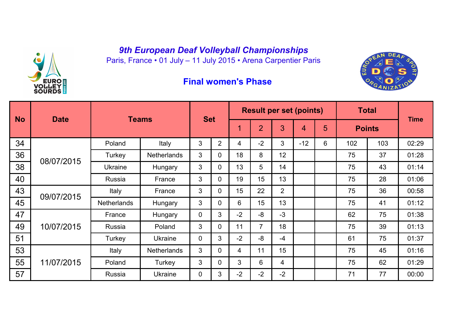Paris, France • 01 July – 11 July 2015 • Arena Carpentier Paris



#### **Final women's Phase**



|           |             |                    |                    |              |                |                |                |                | <b>Result per set (points)</b> |   |     | <b>Total</b>  |             |
|-----------|-------------|--------------------|--------------------|--------------|----------------|----------------|----------------|----------------|--------------------------------|---|-----|---------------|-------------|
| <b>No</b> | <b>Date</b> |                    | <b>Teams</b>       | <b>Set</b>   |                |                | $\overline{2}$ | 3              | $\blacktriangleleft$           | 5 |     | <b>Points</b> | <b>Time</b> |
| 34        |             | Poland             | Italy              | 3            | $\overline{2}$ | 4              | $-2$           | 3              | $-12$                          | 6 | 102 | 103           | 02:29       |
| 36        | 08/07/2015  | Turkey             | <b>Netherlands</b> | 3            | $\Omega$       | 18             | 8              | 12             |                                |   | 75  | 37            | 01:28       |
| 38        |             | <b>Ukraine</b>     | Hungary            | 3            | 0              | 13             | 5              | 14             |                                |   | 75  | 43            | 01:14       |
| 40        |             | Russia             | France             | 3            | 0              | 19             | 15             | 13             |                                |   | 75  | 28            | 01:06       |
| 43        | 09/07/2015  | Italy              | France             | 3            | 0              | 15             | 22             | $\overline{2}$ |                                |   | 75  | 36            | 00:58       |
| 45        |             | <b>Netherlands</b> | Hungary            | 3            | 0              | 6              | 15             | 13             |                                |   | 75  | 41            | 01:12       |
| 47        |             | France             | Hungary            | $\mathbf 0$  | 3              | $-2$           | $-8$           | $-3$           |                                |   | 62  | 75            | 01:38       |
| 49        | 10/07/2015  | Russia             | Poland             | $\mathbf{3}$ | 0              | 11             | $\overline{7}$ | 18             |                                |   | 75  | 39            | 01:13       |
| 51        |             | Turkey             | <b>Ukraine</b>     | $\mathbf 0$  | 3              | $-2$           | -8             | $-4$           |                                |   | 61  | 75            | 01:37       |
| 53        |             | Italy              | <b>Netherlands</b> | 3            | $\mathbf 0$    | $\overline{4}$ | 11             | 15             |                                |   | 75  | 45            | 01:16       |
| 55        | 11/07/2015  | Poland             | Turkey             | 3            | $\mathbf 0$    | $\mathbf{3}$   | 6              | 4              |                                |   | 75  | 62            | 01:29       |
| 57        |             | Russia             | <b>Ukraine</b>     | $\mathbf 0$  | 3              | $-2$           | $-2$           | $-2$           |                                |   | 71  | 77            | 00:00       |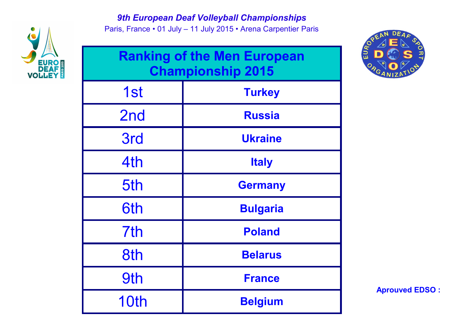

Paris, France • 01 July – 11 July 2015 • Arena Carpentier Paris

|                 | <b>Ranking of the Men European</b><br><b>Championship 2015</b> |
|-----------------|----------------------------------------------------------------|
| 1st             | <b>Turkey</b>                                                  |
| 2 <sub>nd</sub> | <b>Russia</b>                                                  |
| 3rd             | <b>Ukraine</b>                                                 |
| 4th             | <b>Italy</b>                                                   |
| 5th             | <b>Germany</b>                                                 |
| 6th             | <b>Bulgaria</b>                                                |
| 7 <sup>th</sup> | <b>Poland</b>                                                  |
| 8th             | <b>Belarus</b>                                                 |
| 9th             | <b>France</b>                                                  |
| 10th            | <b>Belgium</b>                                                 |

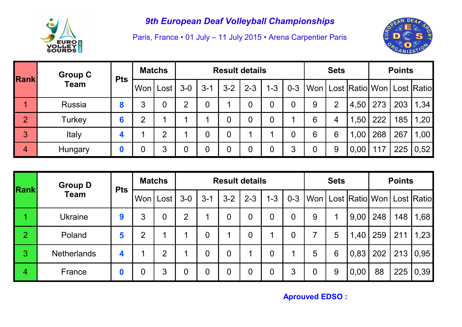

Paris, France • 01 July – 11 July 2015 • Arena Carpentier Paris



| <b>Rank</b>    | <b>Group C</b> | <b>Pts</b> | <b>Matchs</b> |                |                |                |                | <b>Result details</b> |         |                |   | <b>Sets</b>    |                                         |     | <b>Points</b> |      |
|----------------|----------------|------------|---------------|----------------|----------------|----------------|----------------|-----------------------|---------|----------------|---|----------------|-----------------------------------------|-----|---------------|------|
|                | <b>Team</b>    |            | Won   Lost    |                | $3-0$          | $3 - 1$        | $3 - 2$        | $2 - 3$               | $1 - 3$ | $0 - 3$        |   |                | Won   Lost   Ratio   Won   Lost   Ratio |     |               |      |
|                | <b>Russia</b>  | o          | 3             | $\overline{0}$ | $\overline{2}$ | $\overline{0}$ |                | 0                     | 0       | $\overline{0}$ | 9 | $\overline{2}$ | 4,50                                    | 273 | 203           | 1,34 |
| $\overline{2}$ | Turkey         |            | ⌒             |                |                |                | $\overline{0}$ | 0                     | 0       |                | 6 | 4              | 1,50                                    | 222 | 185           | 1,20 |
| 3              | Italy          |            |               | ⌒              |                | $\overline{0}$ | $\overline{0}$ |                       |         | $\overline{0}$ | 6 | 6              | 1,00                                    | 268 | 267           | 1,00 |
| $\overline{4}$ | Hungary        |            |               | 3              | 0              | $\overline{0}$ | $\overline{0}$ | 0                     | 0       | 3              | 0 | 9              | 0,00                                    | 117 | 225           | 0,52 |

| <b>Rank</b>    | <b>Group D</b>     | <b>Pts</b> | <b>Matchs</b> |                |                |                |                | <b>Result details</b> |                |                |   | <b>Sets</b> |      |     | <b>Points</b> |                                      |
|----------------|--------------------|------------|---------------|----------------|----------------|----------------|----------------|-----------------------|----------------|----------------|---|-------------|------|-----|---------------|--------------------------------------|
|                | <b>Team</b>        |            | Won   Lost    |                | $3-0$          | $3 - 1$        | $3 - 2$        | $2 - 3$               | $1 - 3$        | $0 - 3$        |   |             |      |     |               | Won   Lost  Ratio  Won   Lost  Ratio |
|                | <b>Ukraine</b>     | 9          | 3             | $\overline{0}$ | 2              |                | $\overline{0}$ | 0                     | 0              | $\overline{0}$ | 9 |             | 9,00 | 248 | 148           | 1,68                                 |
| $\overline{2}$ | Poland             | 5          | Ω             |                |                | $\overline{0}$ |                | 0                     |                | $\overline{0}$ |   | 5           | 1,40 | 259 | 211           | 1,23                                 |
| 3              | <b>Netherlands</b> |            |               | C              | ◢              | $\overline{0}$ | $\overline{0}$ | ◢                     | $\overline{0}$ |                | 5 | 6           | 0,83 | 202 | 213           | 0,95                                 |
| 4              | France             |            | 0             | 3              | $\overline{0}$ | $\overline{0}$ | $\overline{0}$ | 0                     | 0              | 3              | 0 | 9           | 0,00 | 88  | 225           | 0,39                                 |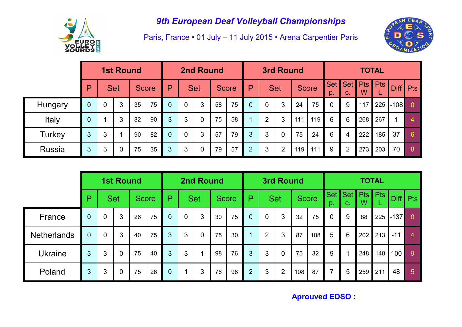

Paris, France • 01 July – 11 July 2015 • Arena Carpentier Paris



|               |                |             | <b>1st Round</b> |    |              |                |                | <b>2nd Round</b> |    |              |                |             | <b>3rd Round</b> |     |              |                |                |                 | <b>TOTAL</b> |             |            |
|---------------|----------------|-------------|------------------|----|--------------|----------------|----------------|------------------|----|--------------|----------------|-------------|------------------|-----|--------------|----------------|----------------|-----------------|--------------|-------------|------------|
|               | P              |             | <b>Set</b>       |    | <b>Score</b> | P              |                | <b>Set</b>       |    | <b>Score</b> | $\mathsf{p}$   |             | <b>Set</b>       |     | <b>Score</b> | Set  <br>D.    | Set  <br>C.    | <b>Pts</b><br>W | <b>Pts</b>   | <b>Diff</b> | <b>Pts</b> |
| Hungary       | 0              | $\mathbf 0$ | 3                | 35 | 75           | $\overline{0}$ | $\overline{0}$ | 3                | 58 | 75           | $\overline{0}$ | $\mathbf 0$ | 3                | 24  | 75           | $\overline{0}$ | 9              | 117             | 225          | $-108$      | $\Omega$   |
| Italy         | $\overline{0}$ |             | 3                | 82 | 90           | 3              | 3              | $\overline{0}$   | 75 | 58           |                | 2           | 3                | 111 | 119          | 6              | 6              | 268             | 267          |             | 4          |
| Turkey        | 3              | 3           | 1                | 90 | 82           | $\overline{0}$ | $\overline{0}$ | 3                | 57 | 79           | 3              | 3           | 0                | 75  | 24           | 6              | 4              | 222             | 185          | 37          | 6          |
| <b>Russia</b> | 3              | 3           | $\mathbf 0$      | 75 | 35           | 3              | 3              | $\mathbf 0$      | 79 | 57           | $\overline{2}$ | 3           | $\overline{2}$   | 119 | 111          | 9              | $\overline{2}$ | 273             | 203          | 70          | 8          |

|                    |                |                | <b>1st Round</b> |    |              | <b>2nd Round</b> |                |                |    | <b>3rd Round</b> |                |                |                |     | <b>TOTAL</b> |                |                      |                 |     |        |                |
|--------------------|----------------|----------------|------------------|----|--------------|------------------|----------------|----------------|----|------------------|----------------|----------------|----------------|-----|--------------|----------------|----------------------|-----------------|-----|--------|----------------|
|                    | P              |                | <b>Set</b>       |    | <b>Score</b> | P                |                | <b>Set</b>     |    | <b>Score</b>     | P              |                | <b>Set</b>     |     | <b>Score</b> | p.             | Set Set  <br>$C_{-}$ | <b>Pts</b><br>W | Pts |        | Diff   Pts     |
| France             | $\mathbf 0$    | 0              | 3                | 26 | 75           | $\Omega$         | $\overline{0}$ | 3              | 30 | 75               | $\overline{0}$ | $\overline{0}$ | 3              | 32  | 75           | $\overline{0}$ | 9                    | 88              | 225 | $-137$ | 0              |
| <b>Netherlands</b> | $\mathbf{0}$   | $\overline{0}$ | 3                | 40 | 75           | 3 <sup>1</sup>   | 3              | $\overline{0}$ | 75 | 30               |                | $\overline{2}$ | 3              | 87  | 108          | 5              | 6                    | 202             | 213 | $-11$  | $\overline{4}$ |
| <b>Ukraine</b>     | 3              | 3              | $\overline{0}$   | 75 | 40           | 3                | 3              | 1              | 98 | 76               | 3              | 3              | $\overline{0}$ | 75  | 32           | 9              |                      | 248             | 148 | 100    | 9 <sup>°</sup> |
| Poland             | 3 <sup>1</sup> | 3              | $\mathbf 0$      | 75 | 26           | $\overline{0}$   |                | 3              | 76 | 98               | $\overline{2}$ | 3              | 2              | 108 | 87           | $\overline{7}$ | 5                    | 259             | 211 | 48     | $\overline{5}$ |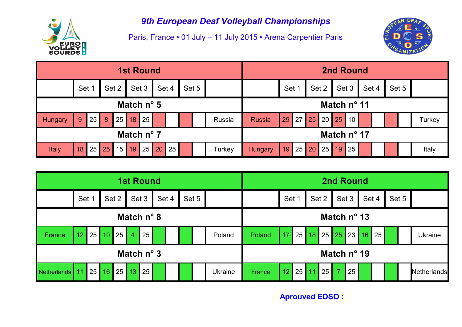

Paris, France • 01 July – 11 July 2015 • Arena Carpentier Paris



|                     | <b>1st Round</b> |                      |       |         |              |  |       |       |             | <b>2nd Round</b> |         |       |  |                |  |             |                 |       |  |       |        |
|---------------------|------------------|----------------------|-------|---------|--------------|--|-------|-------|-------------|------------------|---------|-------|--|----------------|--|-------------|-----------------|-------|--|-------|--------|
|                     | Set 1            |                      | Set 2 |         | Set 3        |  | Set 4 | Set 5 |             |                  |         | Set 1 |  | Set 2          |  |             | Set 3           | Set 4 |  | Set 5 |        |
| Match $n^{\circ}$ 5 |                  |                      |       |         |              |  |       |       | Match nº 11 |                  |         |       |  |                |  |             |                 |       |  |       |        |
| <b>Hungary</b>      | 25<br>9          | 8                    | 25    | 18      | 25           |  |       |       |             | Russia           | Russia  |       |  | 29 27 25 20 25 |  |             | 10 <sup>1</sup> |       |  |       | Turkey |
| Match $n^{\circ}$ 7 |                  |                      |       |         |              |  |       |       |             |                  |         |       |  |                |  | Match nº 17 |                 |       |  |       |        |
| <b>Italy</b>        | 18               | $25 \,   \, 25 \,  $ |       | $15$ 19 | $25 \mid 20$ |  | 25    |       |             | Turkey           | Hungary | 19    |  | 25 20 25 19    |  |             | 25              |       |  |       | Italy  |

|                     | <b>1st Round</b>    |    |       |       |                |       |       |  |             | <b>2nd Round</b> |                |        |       |    |    |       |                |       |  |                      |       |  |                |
|---------------------|---------------------|----|-------|-------|----------------|-------|-------|--|-------------|------------------|----------------|--------|-------|----|----|-------|----------------|-------|--|----------------------|-------|--|----------------|
|                     | Set 1               |    |       | Set 2 |                | Set 3 | Set 4 |  |             | Set 5            |                |        | Set 1 |    |    | Set 2 |                | Set 3 |  | Set 4                | Set 5 |  |                |
| Match $n^{\circ}$ 8 |                     |    |       |       |                |       |       |  | Match nº 13 |                  |                |        |       |    |    |       |                |       |  |                      |       |  |                |
| France              | 12 <sub>2</sub>     |    | 25 10 | 25    | $\overline{4}$ | 25    |       |  |             |                  | Poland         | Poland | 17    |    |    |       |                |       |  | 25 18 25 25 23 16 25 |       |  | <b>Ukraine</b> |
|                     | Match $n^{\circ}$ 3 |    |       |       |                |       |       |  |             | Match nº 19      |                |        |       |    |    |       |                |       |  |                      |       |  |                |
| Netherlands         | 11                  | 25 | 16    | 25    | 13             | 25    |       |  |             |                  | <b>Ukraine</b> | France | 12    | 25 | 11 | 25    | $\overline{7}$ | 25    |  |                      |       |  | Netherlands    |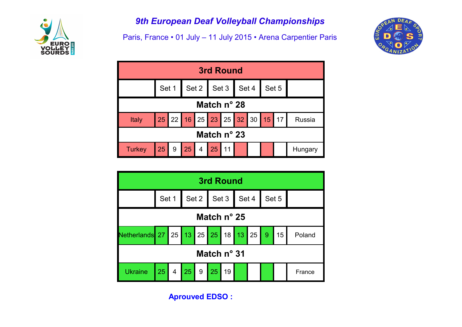

Paris, France • 01 July – 11 July 2015 • Arena Carpentier Paris



| <b>3rd Round</b>     |                               |  |                  |                                       |               |  |  |  |  |  |         |
|----------------------|-------------------------------|--|------------------|---------------------------------------|---------------|--|--|--|--|--|---------|
|                      |                               |  |                  | Set 1   Set 2   Set 3   Set 4   Set 5 |               |  |  |  |  |  |         |
| Match $n^{\circ}$ 28 |                               |  |                  |                                       |               |  |  |  |  |  |         |
| <b>Italy</b>         | 25 22 16 25 23 25 32 30 15 17 |  |                  |                                       |               |  |  |  |  |  | Russia  |
| Match $n^{\circ}$ 23 |                               |  |                  |                                       |               |  |  |  |  |  |         |
| <b>Turkey</b>        | 25                            |  | $9 \mid 25 \mid$ |                                       | $4 \ 25 \ 11$ |  |  |  |  |  | Hungary |

| 3rd Round                                |       |             |    |                          |  |    |  |  |  |       |        |
|------------------------------------------|-------|-------------|----|--------------------------|--|----|--|--|--|-------|--------|
|                                          | Set 1 |             |    | Set 2   Set 3   Set 4    |  |    |  |  |  | Set 5 |        |
| Match $n^{\circ}$ 25                     |       |             |    |                          |  |    |  |  |  |       |        |
| Netherlands 27 25 13 25 25 18 13 25 9 15 |       |             |    |                          |  |    |  |  |  |       | Poland |
| Match $n^{\circ}$ 31                     |       |             |    |                          |  |    |  |  |  |       |        |
| <b>Ukraine</b>                           | 25    | $\bullet$ 4 | 25 | $\vert 9 \vert 25 \vert$ |  | 19 |  |  |  |       | France |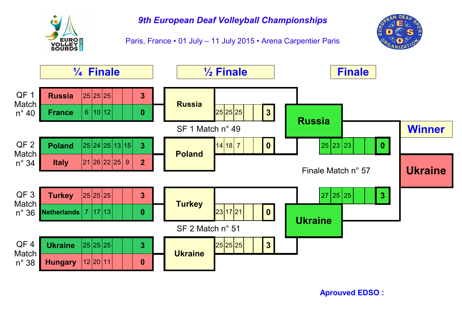

Paris, France • 01 July – 11 July 2015 • Arena Carpentier Paris



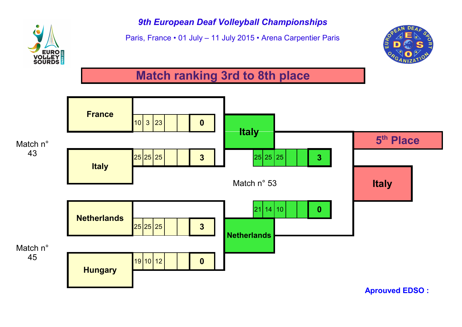

Paris, France • 01 July – 11 July 2015 • Arena Carpentier Paris



# **Match ranking 3rd to 8th place**

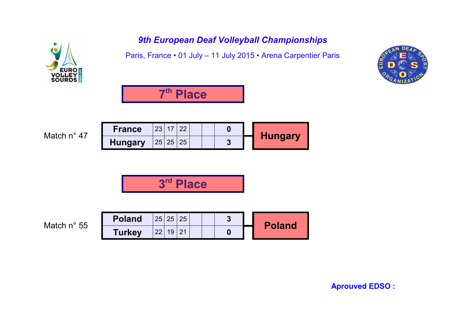Paris, France • 01 July – 11 July 2015 • Arena Carpentier Paris





Match n° 47

| <b>France</b>  | റാ | nn |  |  |                |
|----------------|----|----|--|--|----------------|
| <b>Hungary</b> | 25 | つら |  |  | <b>Hungary</b> |

**3 rd Place**

Match n° 55

| <b>Poland</b> | 25 |    | 25 |  |  | <b>Poland</b> |
|---------------|----|----|----|--|--|---------------|
| <b>Turkey</b> |    | 10 |    |  |  |               |